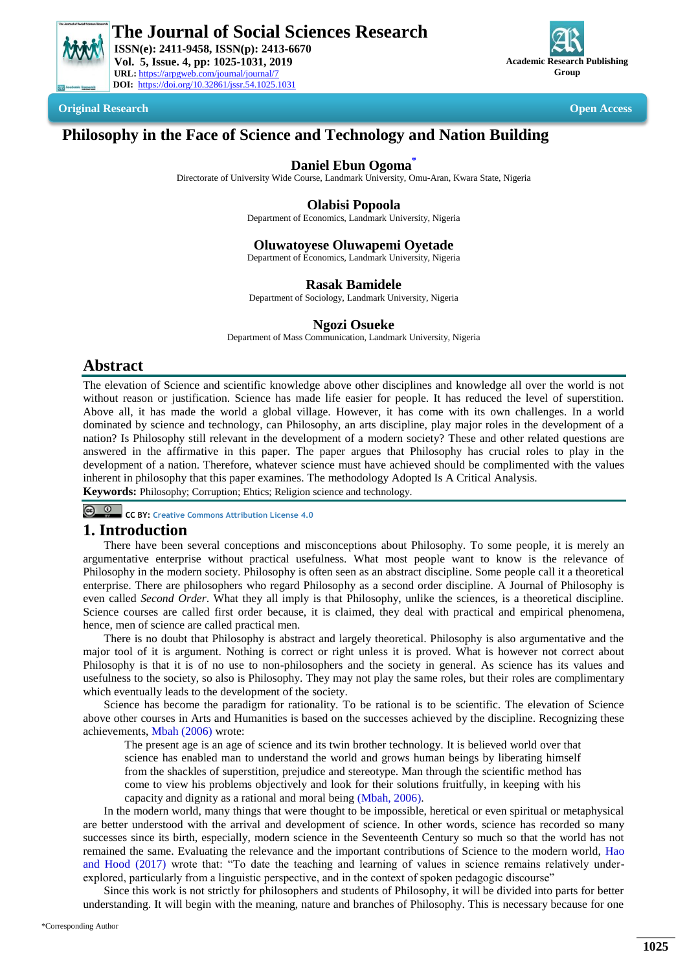

 **ISSN(e): 2411-9458, ISSN(p): 2413-6670 Vol. 5, Issue. 4, pp: 1025-1031, 2019 URL:** https://arpgweb.com/journal/journal/7 **DOI:** https://doi.org/10.32861/jssr.54.1025.1031



**Original Research Open Access**

# **Philosophy in the Face of Science and Technology and Nation Building**

**Daniel Ebun Ogoma[\\*](#page-0-0)**

Directorate of University Wide Course, Landmark University, Omu-Aran, Kwara State, Nigeria

### **Olabisi Popoola**

Department of Economics, Landmark University, Nigeria

### **Oluwatoyese Oluwapemi Oyetade**

Department of Economics, Landmark University, Nigeria

#### **Rasak Bamidele**

Department of Sociology, Landmark University, Nigeria

### **Ngozi Osueke**

Department of Mass Communication, Landmark University, Nigeria

# **Abstract**

The elevation of Science and scientific knowledge above other disciplines and knowledge all over the world is not without reason or justification. Science has made life easier for people. It has reduced the level of superstition. Above all, it has made the world a global village. However, it has come with its own challenges. In a world dominated by science and technology, can Philosophy, an arts discipline, play major roles in the development of a nation? Is Philosophy still relevant in the development of a modern society? These and other related questions are answered in the affirmative in this paper. The paper argues that Philosophy has crucial roles to play in the development of a nation. Therefore, whatever science must have achieved should be complimented with the values inherent in philosophy that this paper examines. The methodology Adopted Is A Critical Analysis.

**Keywords:** Philosophy; Corruption; Ehtics; Religion science and technology.

**CC BY: [Creative Commons Attribution License 4.0](https://creativecommons.org/licenses/by/4.0/)**

# **1. Introduction**

There have been several conceptions and misconceptions about Philosophy. To some people, it is merely an argumentative enterprise without practical usefulness. What most people want to know is the relevance of Philosophy in the modern society. Philosophy is often seen as an abstract discipline. Some people call it a theoretical enterprise. There are philosophers who regard Philosophy as a second order discipline. A Journal of Philosophy is even called *Second Order*. What they all imply is that Philosophy, unlike the sciences, is a theoretical discipline. Science courses are called first order because, it is claimed, they deal with practical and empirical phenomena, hence, men of science are called practical men.

There is no doubt that Philosophy is abstract and largely theoretical. Philosophy is also argumentative and the major tool of it is argument. Nothing is correct or right unless it is proved. What is however not correct about Philosophy is that it is of no use to non-philosophers and the society in general. As science has its values and usefulness to the society, so also is Philosophy. They may not play the same roles, but their roles are complimentary which eventually leads to the development of the society.

Science has become the paradigm for rationality. To be rational is to be scientific. The elevation of Science above other courses in Arts and Humanities is based on the successes achieved by the discipline. Recognizing these achievements, [Mbah \(2006\)](#page-6-0) wrote:

The present age is an age of science and its twin brother technology. It is believed world over that science has enabled man to understand the world and grows human beings by liberating himself from the shackles of superstition, prejudice and stereotype. Man through the scientific method has come to view his problems objectively and look for their solutions fruitfully, in keeping with his capacity and dignity as a rational and moral being [\(Mbah, 2006\)](#page-6-0).

In the modern world, many things that were thought to be impossible, heretical or even spiritual or metaphysical are better understood with the arrival and development of science. In other words, science has recorded so many successes since its birth, especially, modern science in the Seventeenth Century so much so that the world has not remained the same. Evaluating the relevance and the important contributions of Science to the modern world, [Hao](#page-6-1)  and Hood (2017) wrote that: "To date the teaching and learning of values in science remains relatively underexplored, particularly from a linguistic perspective, and in the context of spoken pedagogic discourse"

<span id="page-0-0"></span>Since this work is not strictly for philosophers and students of Philosophy, it will be divided into parts for better understanding. It will begin with the meaning, nature and branches of Philosophy. This is necessary because for one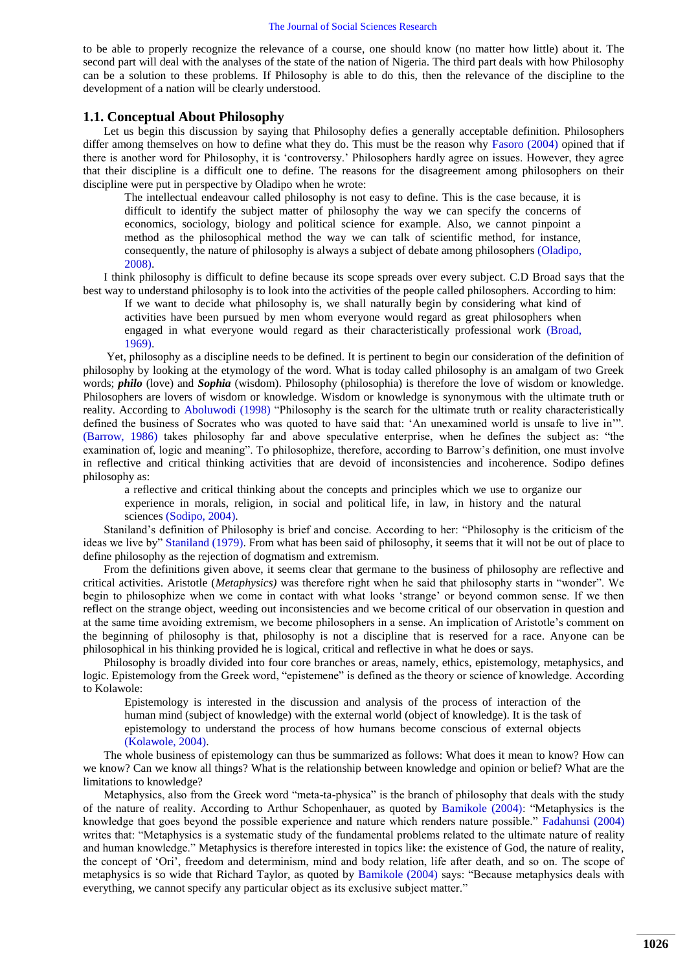to be able to properly recognize the relevance of a course, one should know (no matter how little) about it. The second part will deal with the analyses of the state of the nation of Nigeria. The third part deals with how Philosophy can be a solution to these problems. If Philosophy is able to do this, then the relevance of the discipline to the development of a nation will be clearly understood.

#### **1.1. Conceptual About Philosophy**

Let us begin this discussion by saying that Philosophy defies a generally acceptable definition. Philosophers differ among themselves on how to define what they do. This must be the reason why [Fasoro \(2004\)](#page-6-2) opined that if there is another word for Philosophy, it is "controversy." Philosophers hardly agree on issues. However, they agree that their discipline is a difficult one to define. The reasons for the disagreement among philosophers on their discipline were put in perspective by Oladipo when he wrote:

The intellectual endeavour called philosophy is not easy to define. This is the case because, it is difficult to identify the subject matter of philosophy the way we can specify the concerns of economics, sociology, biology and political science for example. Also, we cannot pinpoint a method as the philosophical method the way we can talk of scientific method, for instance, consequently, the nature of philosophy is always a subject of debate among philosophers [\(Oladipo,](#page-6-3)  [2008\)](#page-6-3).

I think philosophy is difficult to define because its scope spreads over every subject. C.D Broad says that the best way to understand philosophy is to look into the activities of the people called philosophers. According to him:

If we want to decide what philosophy is, we shall naturally begin by considering what kind of activities have been pursued by men whom everyone would regard as great philosophers when engaged in what everyone would regard as their characteristically professional work [\(Broad,](#page-6-4)  [1969\)](#page-6-4).

Yet, philosophy as a discipline needs to be defined. It is pertinent to begin our consideration of the definition of philosophy by looking at the etymology of the word. What is today called philosophy is an amalgam of two Greek words; *philo* (love) and *Sophia* (wisdom). Philosophy (philosophia) is therefore the love of wisdom or knowledge. Philosophers are lovers of wisdom or knowledge. Wisdom or knowledge is synonymous with the ultimate truth or reality. According to [Aboluwodi \(1998\)](#page-5-0) "Philosophy is the search for the ultimate truth or reality characteristically defined the business of Socrates who was quoted to have said that: "An unexamined world is unsafe to live in"". [\(Barrow, 1986\)](#page-6-5) takes philosophy far and above speculative enterprise, when he defines the subject as: "the examination of, logic and meaning". To philosophize, therefore, according to Barrow"s definition, one must involve in reflective and critical thinking activities that are devoid of inconsistencies and incoherence. Sodipo defines philosophy as:

a reflective and critical thinking about the concepts and principles which we use to organize our experience in morals, religion, in social and political life, in law, in history and the natural sciences [\(Sodipo, 2004\)](#page-6-6).

Staniland"s definition of Philosophy is brief and concise. According to her: "Philosophy is the criticism of the ideas we live by[" Staniland \(1979\).](#page-6-7) From what has been said of philosophy, it seems that it will not be out of place to define philosophy as the rejection of dogmatism and extremism.

From the definitions given above, it seems clear that germane to the business of philosophy are reflective and critical activities. Aristotle (*Metaphysics)* was therefore right when he said that philosophy starts in "wonder". We begin to philosophize when we come in contact with what looks "strange" or beyond common sense. If we then reflect on the strange object, weeding out inconsistencies and we become critical of our observation in question and at the same time avoiding extremism, we become philosophers in a sense. An implication of Aristotle"s comment on the beginning of philosophy is that, philosophy is not a discipline that is reserved for a race. Anyone can be philosophical in his thinking provided he is logical, critical and reflective in what he does or says.

Philosophy is broadly divided into four core branches or areas, namely, ethics, epistemology, metaphysics, and logic. Epistemology from the Greek word, "epistemene" is defined as the theory or science of knowledge. According to Kolawole:

Epistemology is interested in the discussion and analysis of the process of interaction of the human mind (subject of knowledge) with the external world (object of knowledge). It is the task of epistemology to understand the process of how humans become conscious of external objects [\(Kolawole, 2004\)](#page-6-8).

The whole business of epistemology can thus be summarized as follows: What does it mean to know? How can we know? Can we know all things? What is the relationship between knowledge and opinion or belief? What are the limitations to knowledge?

Metaphysics, also from the Greek word "meta-ta-physica" is the branch of philosophy that deals with the study of the nature of reality. According to Arthur Schopenhauer, as quoted by [Bamikole \(2004\):](#page-6-9) "Metaphysics is the knowledge that goes beyond the possible experience and nature which renders nature possible." [Fadahunsi \(2004\)](#page-6-10) writes that: "Metaphysics is a systematic study of the fundamental problems related to the ultimate nature of reality and human knowledge." Metaphysics is therefore interested in topics like: the existence of God, the nature of reality, the concept of "Ori", freedom and determinism, mind and body relation, life after death, and so on. The scope of metaphysics is so wide that Richard Taylor, as quoted by [Bamikole \(2004\)](#page-6-9) says: "Because metaphysics deals with everything, we cannot specify any particular object as its exclusive subject matter."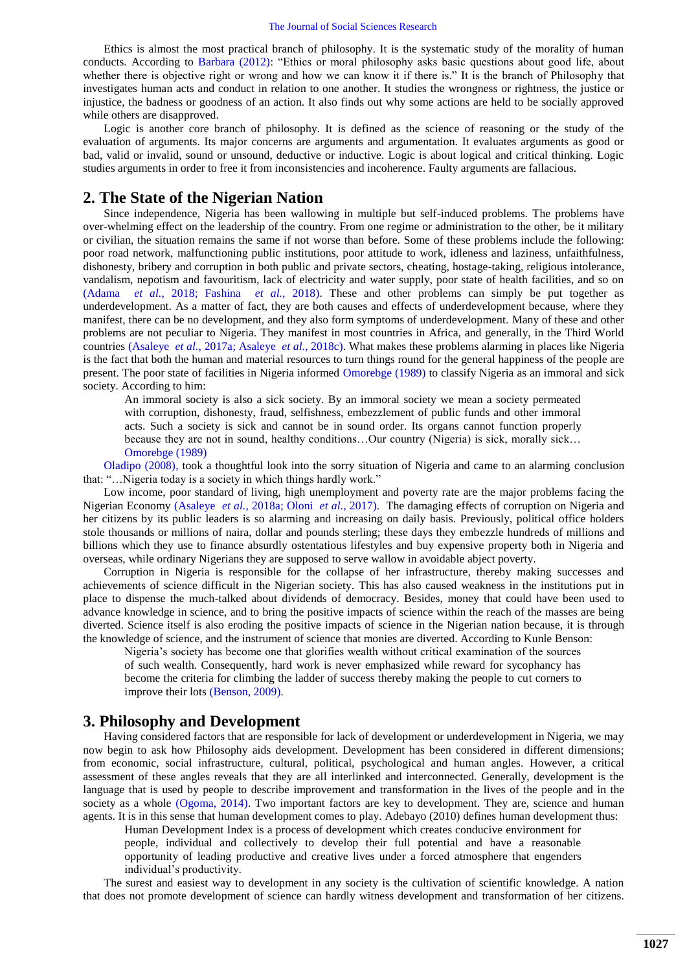Ethics is almost the most practical branch of philosophy. It is the systematic study of the morality of human conducts. According to [Barbara \(2012\):](#page-6-11) "Ethics or moral philosophy asks basic questions about good life, about whether there is objective right or wrong and how we can know it if there is." It is the branch of Philosophy that investigates human acts and conduct in relation to one another. It studies the wrongness or rightness, the justice or injustice, the badness or goodness of an action. It also finds out why some actions are held to be socially approved while others are disapproved.

Logic is another core branch of philosophy. It is defined as the science of reasoning or the study of the evaluation of arguments. Its major concerns are arguments and argumentation. It evaluates arguments as good or bad, valid or invalid, sound or unsound, deductive or inductive. Logic is about logical and critical thinking. Logic studies arguments in order to free it from inconsistencies and incoherence. Faulty arguments are fallacious.

# **2. The State of the Nigerian Nation**

Since independence, Nigeria has been wallowing in multiple but self-induced problems. The problems have over-whelming effect on the leadership of the country. From one regime or administration to the other, be it military or civilian, the situation remains the same if not worse than before. Some of these problems include the following: poor road network, malfunctioning public institutions, poor attitude to work, idleness and laziness, unfaithfulness, dishonesty, bribery and corruption in both public and private sectors, cheating, hostage-taking, religious intolerance, vandalism, nepotism and favouritism, lack of electricity and water supply, poor state of health facilities, and so on (Adama *[et al.](#page-5-1)*, 2018; Fashina *[et al.](#page-6-12)*, 2018). These and other problems can simply be put together as underdevelopment. As a matter of fact, they are both causes and effects of underdevelopment because, where they manifest, there can be no development, and they also form symptoms of underdevelopment. Many of these and other problems are not peculiar to Nigeria. They manifest in most countries in Africa, and generally, in the Third World countries [\(Asaleye](#page-6-13) *et al.*, 2017a; [Asaleye](#page-6-14) *et al.*, 2018c). What makes these problems alarming in places like Nigeria is the fact that both the human and material resources to turn things round for the general happiness of the people are present. The poor state of facilities in Nigeria informed [Omorebge \(1989\)](#page-6-15) to classify Nigeria as an immoral and sick society. According to him:

An immoral society is also a sick society. By an immoral society we mean a society permeated with corruption, dishonesty, fraud, selfishness, embezzlement of public funds and other immoral acts. Such a society is sick and cannot be in sound order. Its organs cannot function properly because they are not in sound, healthy conditions…Our country (Nigeria) is sick, morally sick… [Omorebge \(1989\)](#page-6-15)

[Oladipo \(2008\),](#page-6-3) took a thoughtful look into the sorry situation of Nigeria and came to an alarming conclusion that: "…Nigeria today is a society in which things hardly work."

Low income, poor standard of living, high unemployment and poverty rate are the major problems facing the Nigerian Economy [\(Asaleye](#page-5-2) *et al.*, 2018a; Oloni *et al.*[, 2017\)](#page-6-16). The damaging effects of corruption on Nigeria and her citizens by its public leaders is so alarming and increasing on daily basis. Previously, political office holders stole thousands or millions of naira, dollar and pounds sterling; these days they embezzle hundreds of millions and billions which they use to finance absurdly ostentatious lifestyles and buy expensive property both in Nigeria and overseas, while ordinary Nigerians they are supposed to serve wallow in avoidable abject poverty.

Corruption in Nigeria is responsible for the collapse of her infrastructure, thereby making successes and achievements of science difficult in the Nigerian society. This has also caused weakness in the institutions put in place to dispense the much-talked about dividends of democracy. Besides, money that could have been used to advance knowledge in science, and to bring the positive impacts of science within the reach of the masses are being diverted. Science itself is also eroding the positive impacts of science in the Nigerian nation because, it is through the knowledge of science, and the instrument of science that monies are diverted. According to Kunle Benson:

Nigeria"s society has become one that glorifies wealth without critical examination of the sources of such wealth. Consequently, hard work is never emphasized while reward for sycophancy has become the criteria for climbing the ladder of success thereby making the people to cut corners to improve their lots [\(Benson, 2009\)](#page-6-17).

# **3. Philosophy and Development**

Having considered factors that are responsible for lack of development or underdevelopment in Nigeria, we may now begin to ask how Philosophy aids development. Development has been considered in different dimensions; from economic, social infrastructure, cultural, political, psychological and human angles. However, a critical assessment of these angles reveals that they are all interlinked and interconnected. Generally, development is the language that is used by people to describe improvement and transformation in the lives of the people and in the society as a whole [\(Ogoma, 2014\)](#page-6-18). Two important factors are key to development. They are, science and human agents. It is in this sense that human development comes to play. Adebayo (2010) defines human development thus:

Human Development Index is a process of development which creates conducive environment for people, individual and collectively to develop their full potential and have a reasonable opportunity of leading productive and creative lives under a forced atmosphere that engenders individual"s productivity.

The surest and easiest way to development in any society is the cultivation of scientific knowledge. A nation that does not promote development of science can hardly witness development and transformation of her citizens.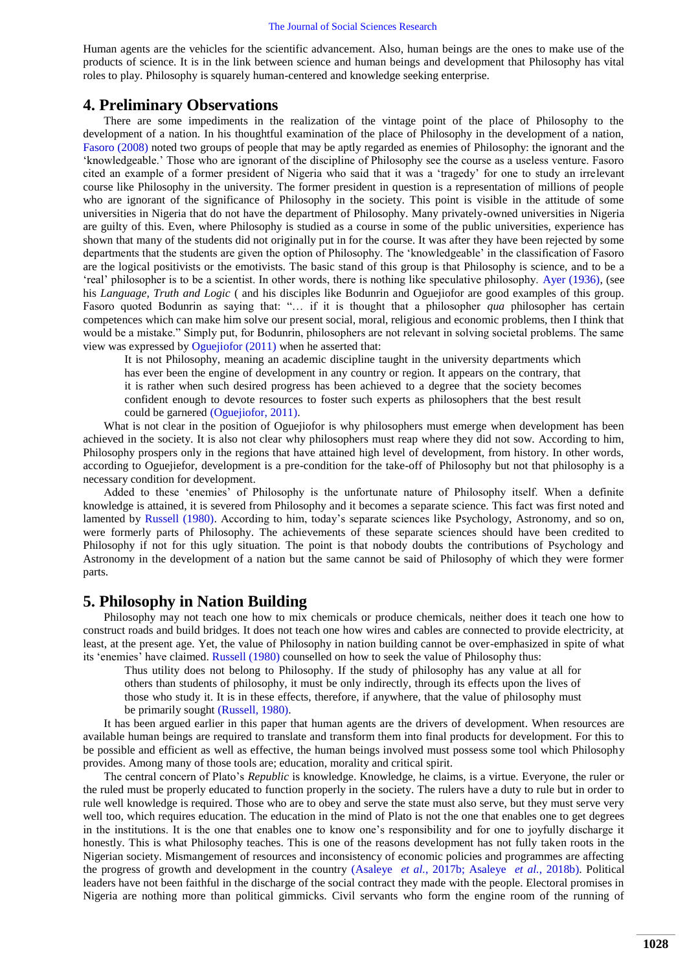#### The Journal of Social Sciences Research

Human agents are the vehicles for the scientific advancement. Also, human beings are the ones to make use of the products of science. It is in the link between science and human beings and development that Philosophy has vital roles to play. Philosophy is squarely human-centered and knowledge seeking enterprise.

### **4. Preliminary Observations**

There are some impediments in the realization of the vintage point of the place of Philosophy to the development of a nation. In his thoughtful examination of the place of Philosophy in the development of a nation, [Fasoro \(2008\)](#page-6-19) noted two groups of people that may be aptly regarded as enemies of Philosophy: the ignorant and the "knowledgeable." Those who are ignorant of the discipline of Philosophy see the course as a useless venture. Fasoro cited an example of a former president of Nigeria who said that it was a "tragedy" for one to study an irrelevant course like Philosophy in the university. The former president in question is a representation of millions of people who are ignorant of the significance of Philosophy in the society. This point is visible in the attitude of some universities in Nigeria that do not have the department of Philosophy. Many privately-owned universities in Nigeria are guilty of this. Even, where Philosophy is studied as a course in some of the public universities, experience has shown that many of the students did not originally put in for the course. It was after they have been rejected by some departments that the students are given the option of Philosophy. The "knowledgeable" in the classification of Fasoro are the logical positivists or the emotivists. The basic stand of this group is that Philosophy is science, and to be a "real" philosopher is to be a scientist. In other words, there is nothing like speculative philosophy. [Ayer \(1936\),](#page-6-20) (see his *Language, Truth and Logic* ( and his disciples like Bodunrin and Oguejiofor are good examples of this group. Fasoro quoted Bodunrin as saying that: "… if it is thought that a philosopher *qua* philosopher has certain competences which can make him solve our present social, moral, religious and economic problems, then I think that would be a mistake." Simply put, for Bodunrin, philosophers are not relevant in solving societal problems. The same view was expressed by [Oguejiofor \(2011\)](#page-6-21) when he asserted that:

It is not Philosophy, meaning an academic discipline taught in the university departments which has ever been the engine of development in any country or region. It appears on the contrary, that it is rather when such desired progress has been achieved to a degree that the society becomes confident enough to devote resources to foster such experts as philosophers that the best result could be garnered [\(Oguejiofor, 2011\)](#page-6-21).

What is not clear in the position of Oguejiofor is why philosophers must emerge when development has been achieved in the society. It is also not clear why philosophers must reap where they did not sow. According to him, Philosophy prospers only in the regions that have attained high level of development, from history. In other words, according to Oguejiefor, development is a pre-condition for the take-off of Philosophy but not that philosophy is a necessary condition for development.

Added to these "enemies" of Philosophy is the unfortunate nature of Philosophy itself. When a definite knowledge is attained, it is severed from Philosophy and it becomes a separate science. This fact was first noted and lamented by [Russell \(1980\).](#page-6-22) According to him, today's separate sciences like Psychology, Astronomy, and so on, were formerly parts of Philosophy. The achievements of these separate sciences should have been credited to Philosophy if not for this ugly situation. The point is that nobody doubts the contributions of Psychology and Astronomy in the development of a nation but the same cannot be said of Philosophy of which they were former parts.

# **5. Philosophy in Nation Building**

Philosophy may not teach one how to mix chemicals or produce chemicals, neither does it teach one how to construct roads and build bridges. It does not teach one how wires and cables are connected to provide electricity, at least, at the present age. Yet, the value of Philosophy in nation building cannot be over-emphasized in spite of what its "enemies" have claimed. [Russell \(1980\)](#page-6-22) counselled on how to seek the value of Philosophy thus:

Thus utility does not belong to Philosophy. If the study of philosophy has any value at all for others than students of philosophy, it must be only indirectly, through its effects upon the lives of those who study it. It is in these effects, therefore, if anywhere, that the value of philosophy must be primarily sought [\(Russell, 1980\)](#page-6-22).

It has been argued earlier in this paper that human agents are the drivers of development. When resources are available human beings are required to translate and transform them into final products for development. For this to be possible and efficient as well as effective, the human beings involved must possess some tool which Philosophy provides. Among many of those tools are; education, morality and critical spirit.

The central concern of Plato"s *Republic* is knowledge. Knowledge, he claims, is a virtue. Everyone, the ruler or the ruled must be properly educated to function properly in the society. The rulers have a duty to rule but in order to rule well knowledge is required. Those who are to obey and serve the state must also serve, but they must serve very well too, which requires education. The education in the mind of Plato is not the one that enables one to get degrees in the institutions. It is the one that enables one to know one"s responsibility and for one to joyfully discharge it honestly. This is what Philosophy teaches. This is one of the reasons development has not fully taken roots in the Nigerian society. Mismangement of resources and inconsistency of economic policies and programmes are affecting the progress of growth and development in the country [\(Asaleye](#page-6-23) *et al.*, 2017b; [Asaleye](#page-6-24) *et al.*, 2018b). Political leaders have not been faithful in the discharge of the social contract they made with the people. Electoral promises in Nigeria are nothing more than political gimmicks. Civil servants who form the engine room of the running of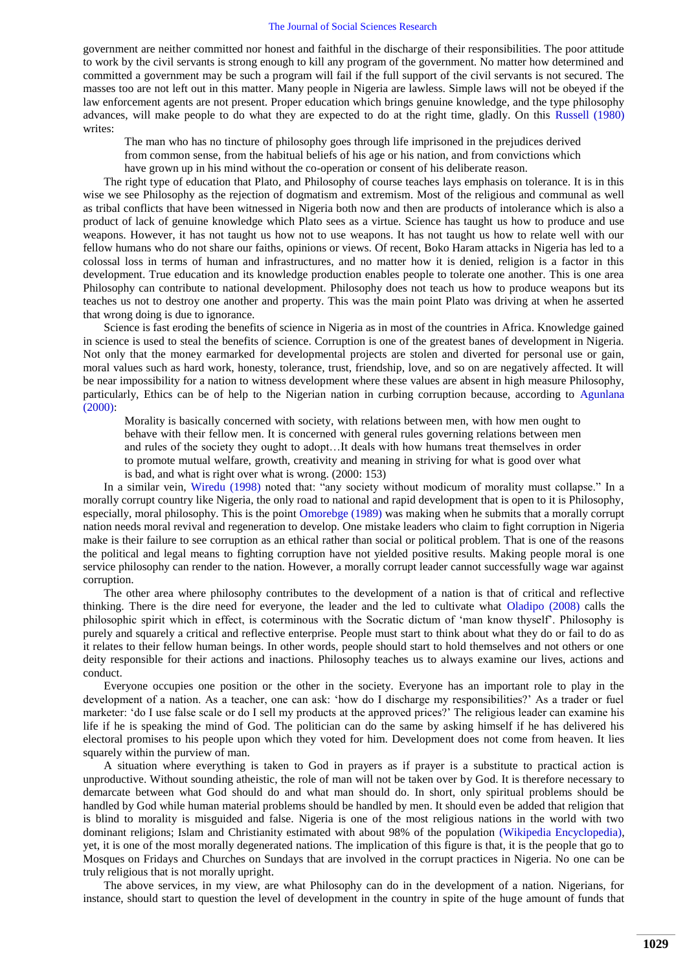#### The Journal of Social Sciences Research

government are neither committed nor honest and faithful in the discharge of their responsibilities. The poor attitude to work by the civil servants is strong enough to kill any program of the government. No matter how determined and committed a government may be such a program will fail if the full support of the civil servants is not secured. The masses too are not left out in this matter. Many people in Nigeria are lawless. Simple laws will not be obeyed if the law enforcement agents are not present. Proper education which brings genuine knowledge, and the type philosophy advances, will make people to do what they are expected to do at the right time, gladly. On this [Russell \(1980\)](#page-6-22) writes:

The man who has no tincture of philosophy goes through life imprisoned in the prejudices derived from common sense, from the habitual beliefs of his age or his nation, and from convictions which have grown up in his mind without the co-operation or consent of his deliberate reason.

The right type of education that Plato, and Philosophy of course teaches lays emphasis on tolerance. It is in this wise we see Philosophy as the rejection of dogmatism and extremism. Most of the religious and communal as well as tribal conflicts that have been witnessed in Nigeria both now and then are products of intolerance which is also a product of lack of genuine knowledge which Plato sees as a virtue. Science has taught us how to produce and use weapons. However, it has not taught us how not to use weapons. It has not taught us how to relate well with our fellow humans who do not share our faiths, opinions or views. Of recent, Boko Haram attacks in Nigeria has led to a colossal loss in terms of human and infrastructures, and no matter how it is denied, religion is a factor in this development. True education and its knowledge production enables people to tolerate one another. This is one area Philosophy can contribute to national development. Philosophy does not teach us how to produce weapons but its teaches us not to destroy one another and property. This was the main point Plato was driving at when he asserted that wrong doing is due to ignorance.

Science is fast eroding the benefits of science in Nigeria as in most of the countries in Africa. Knowledge gained in science is used to steal the benefits of science. Corruption is one of the greatest banes of development in Nigeria. Not only that the money earmarked for developmental projects are stolen and diverted for personal use or gain, moral values such as hard work, honesty, tolerance, trust, friendship, love, and so on are negatively affected. It will be near impossibility for a nation to witness development where these values are absent in high measure Philosophy, particularly, Ethics can be of help to the Nigerian nation in curbing corruption because, according to [Agunlana](#page-5-3)  (2000):

Morality is basically concerned with society, with relations between men, with how men ought to behave with their fellow men. It is concerned with general rules governing relations between men and rules of the society they ought to adopt…It deals with how humans treat themselves in order to promote mutual welfare, growth, creativity and meaning in striving for what is good over what is bad, and what is right over what is wrong. (2000: 153)

In a similar vein, [Wiredu \(1998\)](#page-6-25) noted that: "any society without modicum of morality must collapse." In a morally corrupt country like Nigeria, the only road to national and rapid development that is open to it is Philosophy, especially, moral philosophy. This is the point [Omorebge \(1989\)](#page-6-15) was making when he submits that a morally corrupt nation needs moral revival and regeneration to develop. One mistake leaders who claim to fight corruption in Nigeria make is their failure to see corruption as an ethical rather than social or political problem. That is one of the reasons the political and legal means to fighting corruption have not yielded positive results. Making people moral is one service philosophy can render to the nation. However, a morally corrupt leader cannot successfully wage war against corruption.

The other area where philosophy contributes to the development of a nation is that of critical and reflective thinking. There is the dire need for everyone, the leader and the led to cultivate what [Oladipo \(2008\)](#page-6-3) calls the philosophic spirit which in effect, is coterminous with the Socratic dictum of "man know thyself". Philosophy is purely and squarely a critical and reflective enterprise. People must start to think about what they do or fail to do as it relates to their fellow human beings. In other words, people should start to hold themselves and not others or one deity responsible for their actions and inactions. Philosophy teaches us to always examine our lives, actions and conduct.

Everyone occupies one position or the other in the society. Everyone has an important role to play in the development of a nation. As a teacher, one can ask: "how do I discharge my responsibilities?" As a trader or fuel marketer: "do I use false scale or do I sell my products at the approved prices?" The religious leader can examine his life if he is speaking the mind of God. The politician can do the same by asking himself if he has delivered his electoral promises to his people upon which they voted for him. Development does not come from heaven. It lies squarely within the purview of man.

A situation where everything is taken to God in prayers as if prayer is a substitute to practical action is unproductive. Without sounding atheistic, the role of man will not be taken over by God. It is therefore necessary to demarcate between what God should do and what man should do. In short, only spiritual problems should be handled by God while human material problems should be handled by men. It should even be added that religion that is blind to morality is misguided and false. Nigeria is one of the most religious nations in the world with two dominant religions; Islam and Christianity estimated with about 98% of the population [\(Wikipedia Encyclopedia\)](#page-6-26), yet, it is one of the most morally degenerated nations. The implication of this figure is that, it is the people that go to Mosques on Fridays and Churches on Sundays that are involved in the corrupt practices in Nigeria. No one can be truly religious that is not morally upright.

The above services, in my view, are what Philosophy can do in the development of a nation. Nigerians, for instance, should start to question the level of development in the country in spite of the huge amount of funds that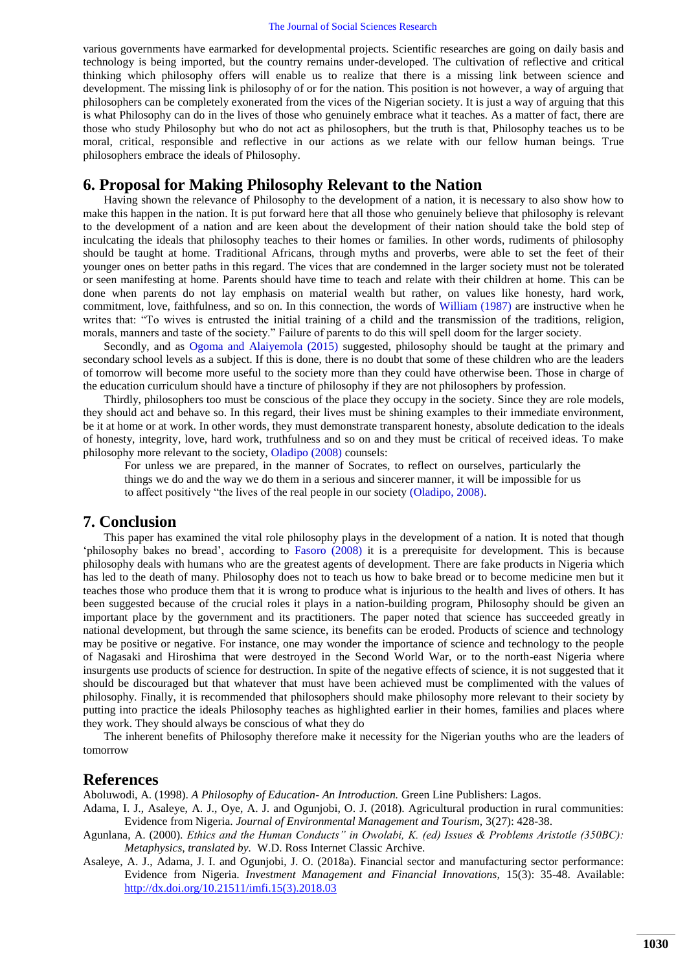#### The Journal of Social Sciences Research

various governments have earmarked for developmental projects. Scientific researches are going on daily basis and technology is being imported, but the country remains under-developed. The cultivation of reflective and critical thinking which philosophy offers will enable us to realize that there is a missing link between science and development. The missing link is philosophy of or for the nation. This position is not however, a way of arguing that philosophers can be completely exonerated from the vices of the Nigerian society. It is just a way of arguing that this is what Philosophy can do in the lives of those who genuinely embrace what it teaches. As a matter of fact, there are those who study Philosophy but who do not act as philosophers, but the truth is that, Philosophy teaches us to be moral, critical, responsible and reflective in our actions as we relate with our fellow human beings. True philosophers embrace the ideals of Philosophy.

# **6. Proposal for Making Philosophy Relevant to the Nation**

Having shown the relevance of Philosophy to the development of a nation, it is necessary to also show how to make this happen in the nation. It is put forward here that all those who genuinely believe that philosophy is relevant to the development of a nation and are keen about the development of their nation should take the bold step of inculcating the ideals that philosophy teaches to their homes or families. In other words, rudiments of philosophy should be taught at home. Traditional Africans, through myths and proverbs, were able to set the feet of their younger ones on better paths in this regard. The vices that are condemned in the larger society must not be tolerated or seen manifesting at home. Parents should have time to teach and relate with their children at home. This can be done when parents do not lay emphasis on material wealth but rather, on values like honesty, hard work, commitment, love, faithfulness, and so on. In this connection, the words of [William \(1987\)](#page-6-27) are instructive when he writes that: "To wives is entrusted the initial training of a child and the transmission of the traditions, religion, morals, manners and taste of the society." Failure of parents to do this will spell doom for the larger society.

Secondly, and as [Ogoma and Alaiyemola \(2015\)](#page-6-28) suggested, philosophy should be taught at the primary and secondary school levels as a subject. If this is done, there is no doubt that some of these children who are the leaders of tomorrow will become more useful to the society more than they could have otherwise been. Those in charge of the education curriculum should have a tincture of philosophy if they are not philosophers by profession.

Thirdly, philosophers too must be conscious of the place they occupy in the society. Since they are role models, they should act and behave so. In this regard, their lives must be shining examples to their immediate environment, be it at home or at work. In other words, they must demonstrate transparent honesty, absolute dedication to the ideals of honesty, integrity, love, hard work, truthfulness and so on and they must be critical of received ideas. To make philosophy more relevant to the society, [Oladipo \(2008\)](#page-6-3) counsels:

For unless we are prepared, in the manner of Socrates, to reflect on ourselves, particularly the things we do and the way we do them in a serious and sincerer manner, it will be impossible for us to affect positively "the lives of the real people in our society [\(Oladipo, 2008\)](#page-6-3).

### **7. Conclusion**

This paper has examined the vital role philosophy plays in the development of a nation. It is noted that though "philosophy bakes no bread", according to [Fasoro \(2008\)](#page-6-19) it is a prerequisite for development. This is because philosophy deals with humans who are the greatest agents of development. There are fake products in Nigeria which has led to the death of many. Philosophy does not to teach us how to bake bread or to become medicine men but it teaches those who produce them that it is wrong to produce what is injurious to the health and lives of others. It has been suggested because of the crucial roles it plays in a nation-building program, Philosophy should be given an important place by the government and its practitioners. The paper noted that science has succeeded greatly in national development, but through the same science, its benefits can be eroded. Products of science and technology may be positive or negative. For instance, one may wonder the importance of science and technology to the people of Nagasaki and Hiroshima that were destroyed in the Second World War, or to the north-east Nigeria where insurgents use products of science for destruction. In spite of the negative effects of science, it is not suggested that it should be discouraged but that whatever that must have been achieved must be complimented with the values of philosophy. Finally, it is recommended that philosophers should make philosophy more relevant to their society by putting into practice the ideals Philosophy teaches as highlighted earlier in their homes, families and places where they work. They should always be conscious of what they do

The inherent benefits of Philosophy therefore make it necessity for the Nigerian youths who are the leaders of tomorrow

# **References**

<span id="page-5-0"></span>Aboluwodi, A. (1998). *A Philosophy of Education- An Introduction.* Green Line Publishers: Lagos.

- <span id="page-5-1"></span>Adama, I. J., Asaleye, A. J., Oye, A. J. and Ogunjobi, O. J. (2018). Agricultural production in rural communities: Evidence from Nigeria. *Journal of Environmental Management and Tourism,* 3(27): 428-38.
- <span id="page-5-3"></span>Agunlana, A. (2000). *Ethics and the Human Conducts" in Owolabi, K. (ed) Issues & Problems Aristotle (350BC): Metaphysics, translated by.* W.D. Ross Internet Classic Archive.
- <span id="page-5-2"></span>Asaleye, A. J., Adama, J. I. and Ogunjobi, J. O. (2018a). Financial sector and manufacturing sector performance: Evidence from Nigeria. *Investment Management and Financial Innovations,* 15(3): 35-48. Available: [http://dx.doi.org/10.21511/imfi.15\(3\).2018.03](http://dx.doi.org/10.21511/imfi.15(3).2018.03)